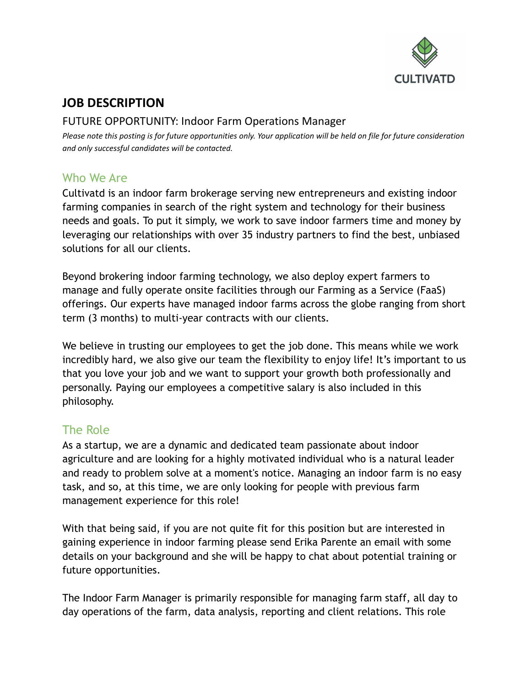

# **JOB DESCRIPTION**

#### FUTURE OPPORTUNITY: Indoor Farm Operations Manager

Please note this posting is for future opportunities only. Your application will be held on file for future consideration *and only successful candidates will be contacted.*

## Who We Are

Cultivatd is an indoor farm brokerage serving new entrepreneurs and existing indoor farming companies in search of the right system and technology for their business needs and goals. To put it simply, we work to save indoor farmers time and money by leveraging our relationships with over 35 industry partners to find the best, unbiased solutions for all our clients.

Beyond brokering indoor farming technology, we also deploy expert farmers to manage and fully operate onsite facilities through our Farming as a Service (FaaS) offerings. Our experts have managed indoor farms across the globe ranging from short term (3 months) to multi-year contracts with our clients.

We believe in trusting our employees to get the job done. This means while we work incredibly hard, we also give our team the flexibility to enjoy life! It's important to us that you love your job and we want to support your growth both professionally and personally. Paying our employees a competitive salary is also included in this philosophy.

# The Role

As a startup, we are a dynamic and dedicated team passionate about indoor agriculture and are looking for a highly motivated individual who is a natural leader and ready to problem solve at a moment's notice. Managing an indoor farm is no easy task, and so, at this time, we are only looking for people with previous farm management experience for this role!

With that being said, if you are not quite fit for this position but are interested in gaining experience in indoor farming please send Erika Parente an email with some details on your background and she will be happy to chat about potential training or future opportunities.

The Indoor Farm Manager is primarily responsible for managing farm staff, all day to day operations of the farm, data analysis, reporting and client relations. This role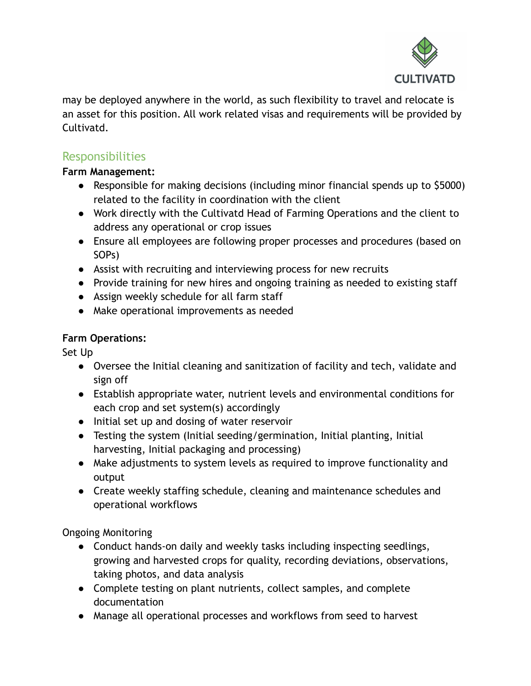

may be deployed anywhere in the world, as such flexibility to travel and relocate is an asset for this position. All work related visas and requirements will be provided by Cultivatd.

# Responsibilities

#### **Farm Management:**

- Responsible for making decisions (including minor financial spends up to \$5000) related to the facility in coordination with the client
- Work directly with the Cultivatd Head of Farming Operations and the client to address any operational or crop issues
- Ensure all employees are following proper processes and procedures (based on SOPs)
- Assist with recruiting and interviewing process for new recruits
- Provide training for new hires and ongoing training as needed to existing staff
- Assign weekly schedule for all farm staff
- Make operational improvements as needed

#### **Farm Operations:**

Set Up

- Oversee the Initial cleaning and sanitization of facility and tech, validate and sign off
- Establish appropriate water, nutrient levels and environmental conditions for each crop and set system(s) accordingly
- Initial set up and dosing of water reservoir
- Testing the system (Initial seeding/germination, Initial planting, Initial harvesting, Initial packaging and processing)
- Make adjustments to system levels as required to improve functionality and output
- Create weekly staffing schedule, cleaning and maintenance schedules and operational workflows

Ongoing Monitoring

- Conduct hands-on daily and weekly tasks including inspecting seedlings, growing and harvested crops for quality, recording deviations, observations, taking photos, and data analysis
- Complete testing on plant nutrients, collect samples, and complete documentation
- Manage all operational processes and workflows from seed to harvest